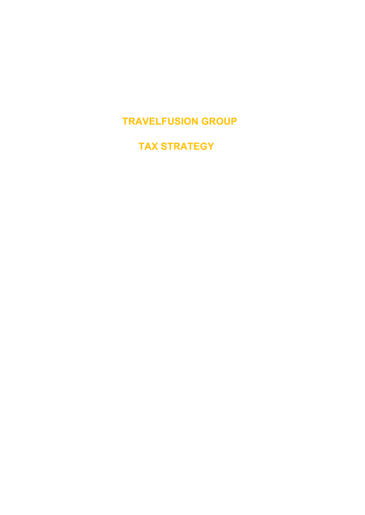**TRAVELFUSION GROUP**

 **TAX STRATEGY**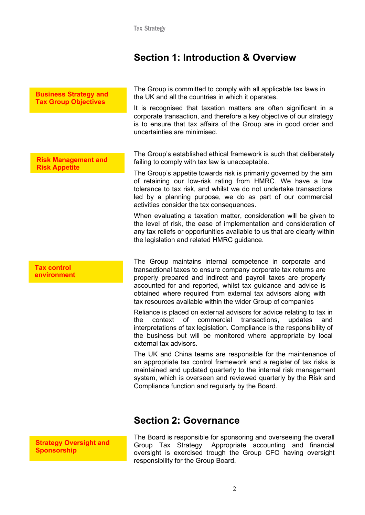## **Section 1: Introduction & Overview**

| <b>Business Strategy and</b><br><b>Tax Group Objectives</b> | The Group is committed to comply with all applicable tax laws in<br>the UK and all the countries in which it operates.<br>It is recognised that taxation matters are often significant in a<br>corporate transaction, and therefore a key objective of our strategy<br>is to ensure that tax affairs of the Group are in good order and<br>uncertainties are minimised.                                                                                                                                                                                                                                                                                                                                                                                                                                                                                                                                                                                                                                                                                  |
|-------------------------------------------------------------|----------------------------------------------------------------------------------------------------------------------------------------------------------------------------------------------------------------------------------------------------------------------------------------------------------------------------------------------------------------------------------------------------------------------------------------------------------------------------------------------------------------------------------------------------------------------------------------------------------------------------------------------------------------------------------------------------------------------------------------------------------------------------------------------------------------------------------------------------------------------------------------------------------------------------------------------------------------------------------------------------------------------------------------------------------|
| <b>Risk Management and</b><br><b>Risk Appetite</b>          | The Group's established ethical framework is such that deliberately<br>failing to comply with tax law is unacceptable.<br>The Group's appetite towards risk is primarily governed by the aim<br>of retaining our low-risk rating from HMRC. We have a low<br>tolerance to tax risk, and whilst we do not undertake transactions<br>led by a planning purpose, we do as part of our commercial<br>activities consider the tax consequences.<br>When evaluating a taxation matter, consideration will be given to<br>the level of risk, the ease of implementation and consideration of<br>any tax reliefs or opportunities available to us that are clearly within<br>the legislation and related HMRC guidance.                                                                                                                                                                                                                                                                                                                                          |
| <b>Tax control</b><br>environment                           | The Group maintains internal competence in corporate and<br>transactional taxes to ensure company corporate tax returns are<br>properly prepared and indirect and payroll taxes are properly<br>accounted for and reported, whilst tax guidance and advice is<br>obtained where required from external tax advisors along with<br>tax resources available within the wider Group of companies<br>Reliance is placed on external advisors for advice relating to tax in<br>context<br>0f<br>commercial<br>transactions,<br>updates<br>the<br>and<br>interpretations of tax legislation. Compliance is the responsibility of<br>the business but will be monitored where appropriate by local<br>external tax advisors.<br>The UK and China teams are responsible for the maintenance of<br>an appropriate tax control framework and a register of tax risks is<br>maintained and updated quarterly to the internal risk management<br>system, which is overseen and reviewed quarterly by the Risk and<br>Compliance function and regularly by the Board. |

**Section 2: Governance**

**Strategy Oversight and Sponsorship**

The Board is responsible for sponsoring and overseeing the overall Group Tax Strategy. Appropriate accounting and financial oversight is exercised trough the Group CFO having oversight responsibility for the Group Board.